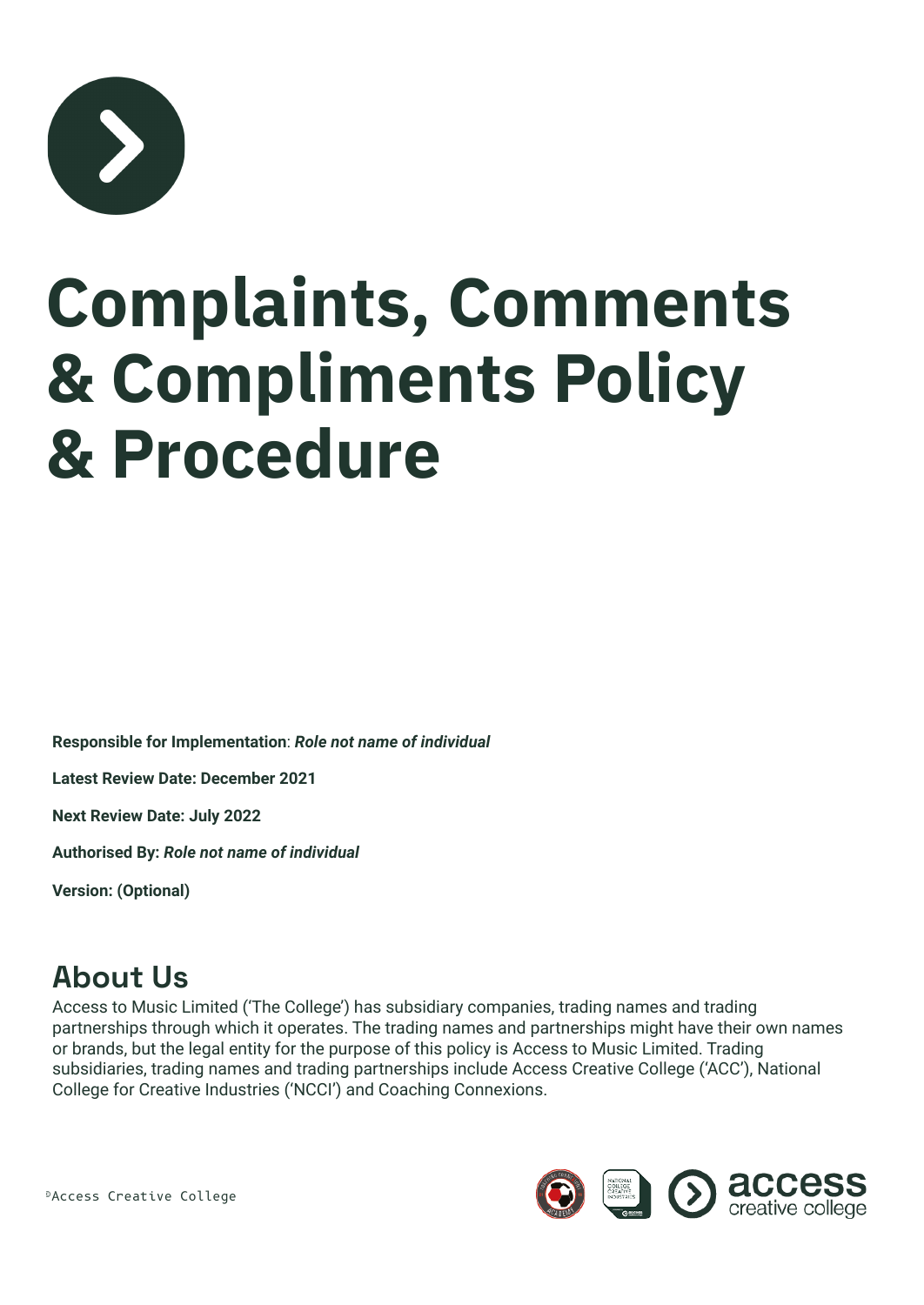

## **Complaints, Comments & Compliments Policy & Procedure**

**Responsible for Implementation**: *Role not name of individual*

**Latest Review Date: December 2021**

**Next Review Date: July 2022**

**Authorised By:** *Role not name of individual*

**Version: (Optional)**

#### **About Us**

Access to Music Limited ('The College') has subsidiary companies, trading names and trading partnerships through which it operates. The trading names and partnerships might have their own names or brands, but the legal entity for the purpose of this policy is Access to Music Limited. Trading subsidiaries, trading names and trading partnerships include Access Creative College ('ACC'), National College for Creative Industries ('NCCI') and Coaching Connexions.

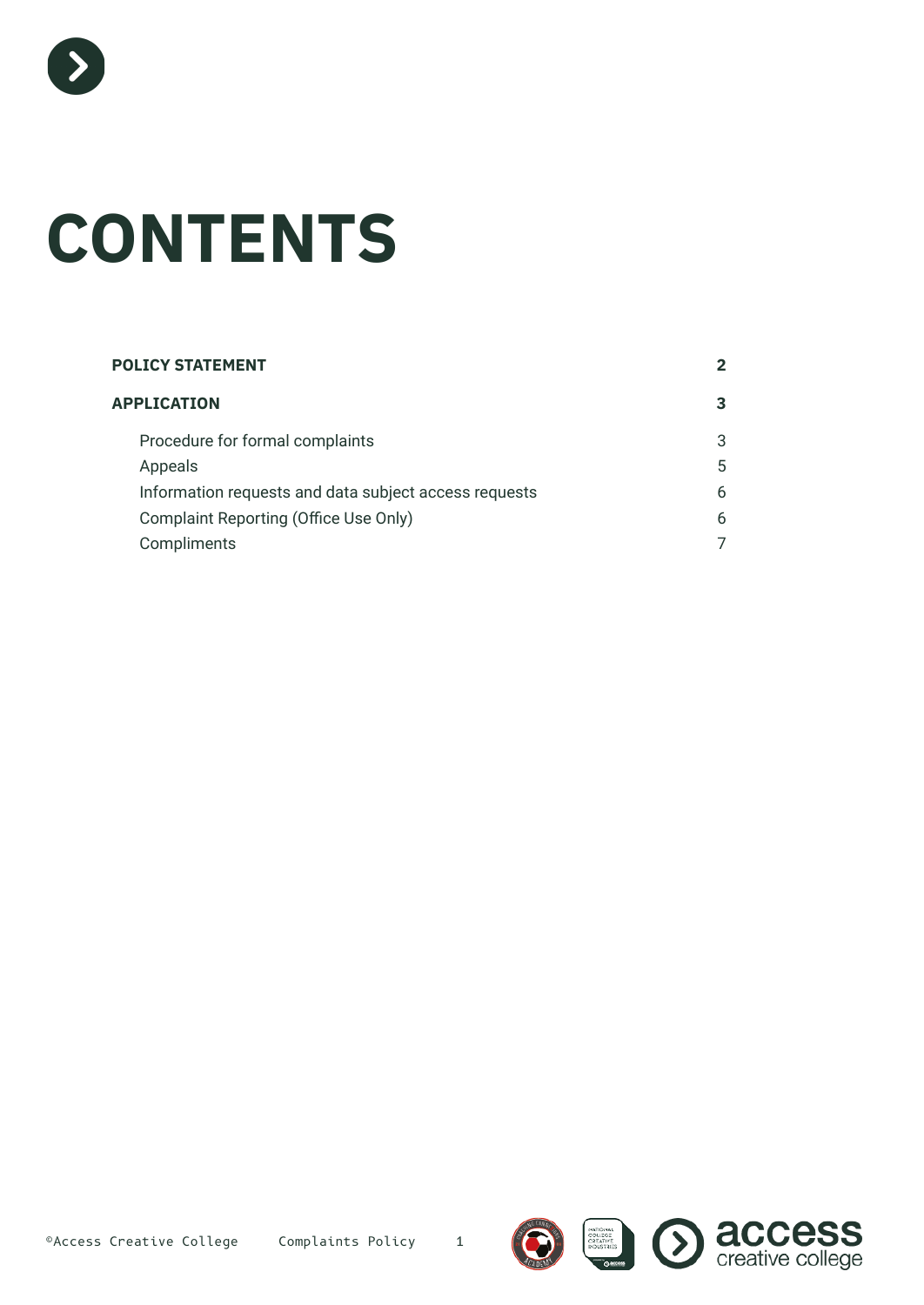

# **CONTENTS**

| <b>POLICY STATEMENT</b>                               |   |
|-------------------------------------------------------|---|
| <b>APPLICATION</b>                                    | 3 |
| Procedure for formal complaints                       | 3 |
| Appeals                                               | 5 |
| Information requests and data subject access requests | 6 |
| Complaint Reporting (Office Use Only)                 | 6 |
| Compliments                                           |   |





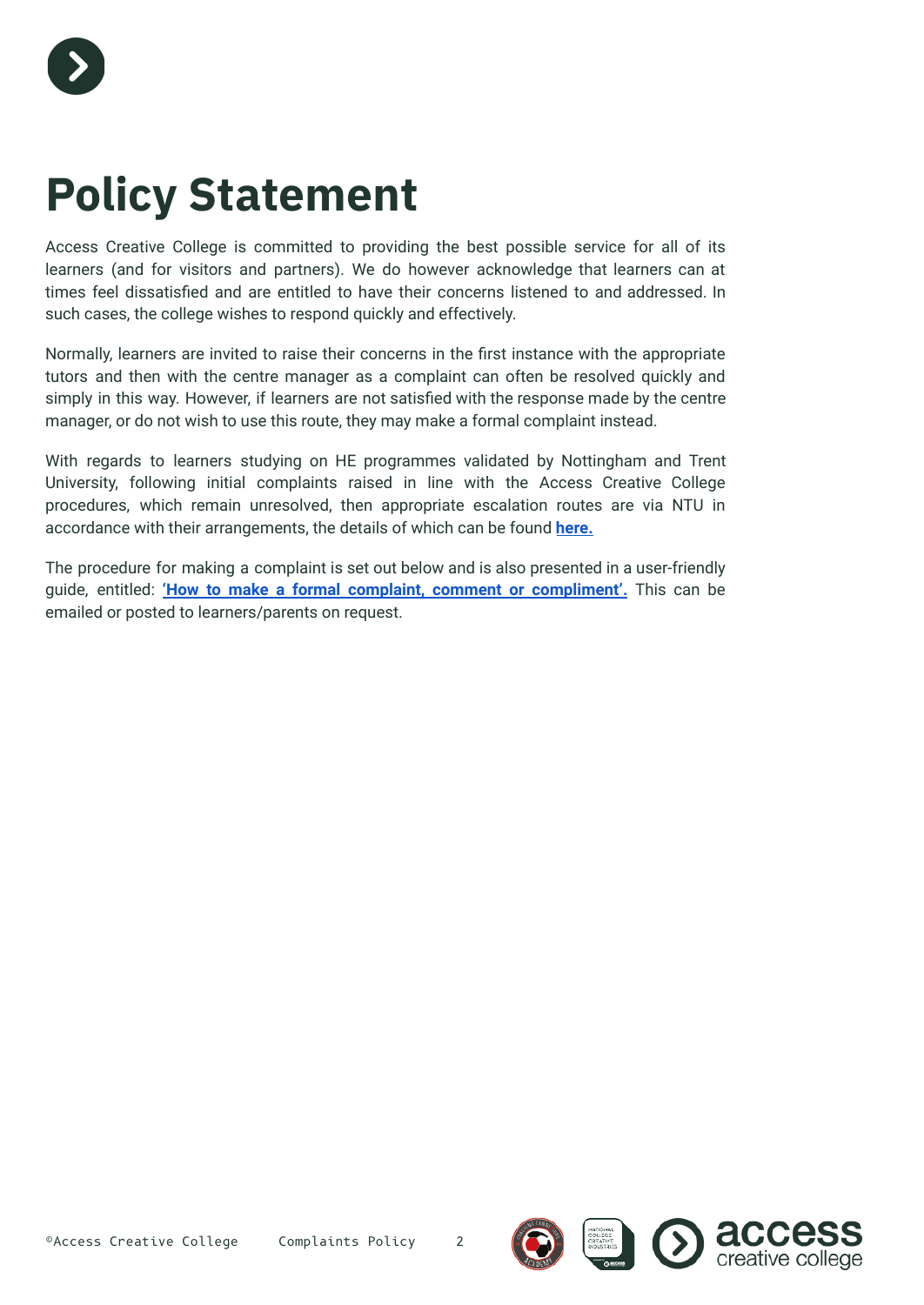

### **Policy Statement**

Access Creative College is committed to providing the best possible service for all of its learners (and for visitors and partners). We do however acknowledge that learners can at times feel dissatisfied and are entitled to have their concerns listened to and addressed. In such cases, the college wishes to respond quickly and effectively.

Normally, learners are invited to raise their concerns in the first instance with the appropriate tutors and then with the centre manager as a complaint can often be resolved quickly and simply in this way. However, if learners are not satisfied with the response made by the centre manager, or do not wish to use this route, they may make a formal complaint instead.

With regards to learners studying on HE programmes validated by Nottingham and Trent University, following initial complaints raised in line with the Access Creative College procedures, which remain unresolved, then appropriate escalation routes are via NTU in accordance with their arrangements, the details of which can be found **[here.](https://www.ntu.ac.uk/studenthub/my-course/student-handbook/making-a-complaint)**

The procedure for making a complaint is set out below and is also presented in a user-friendly guide, entitled: **'How to make a formal complaint, comment or [compliment'.](https://docs.google.com/document/d/1ydrO7slRN4tNbhJ1_nV1jYmqdeiyE4Ygl_hb4vQCx1U/edit#)** This can be emailed or posted to learners/parents on request.



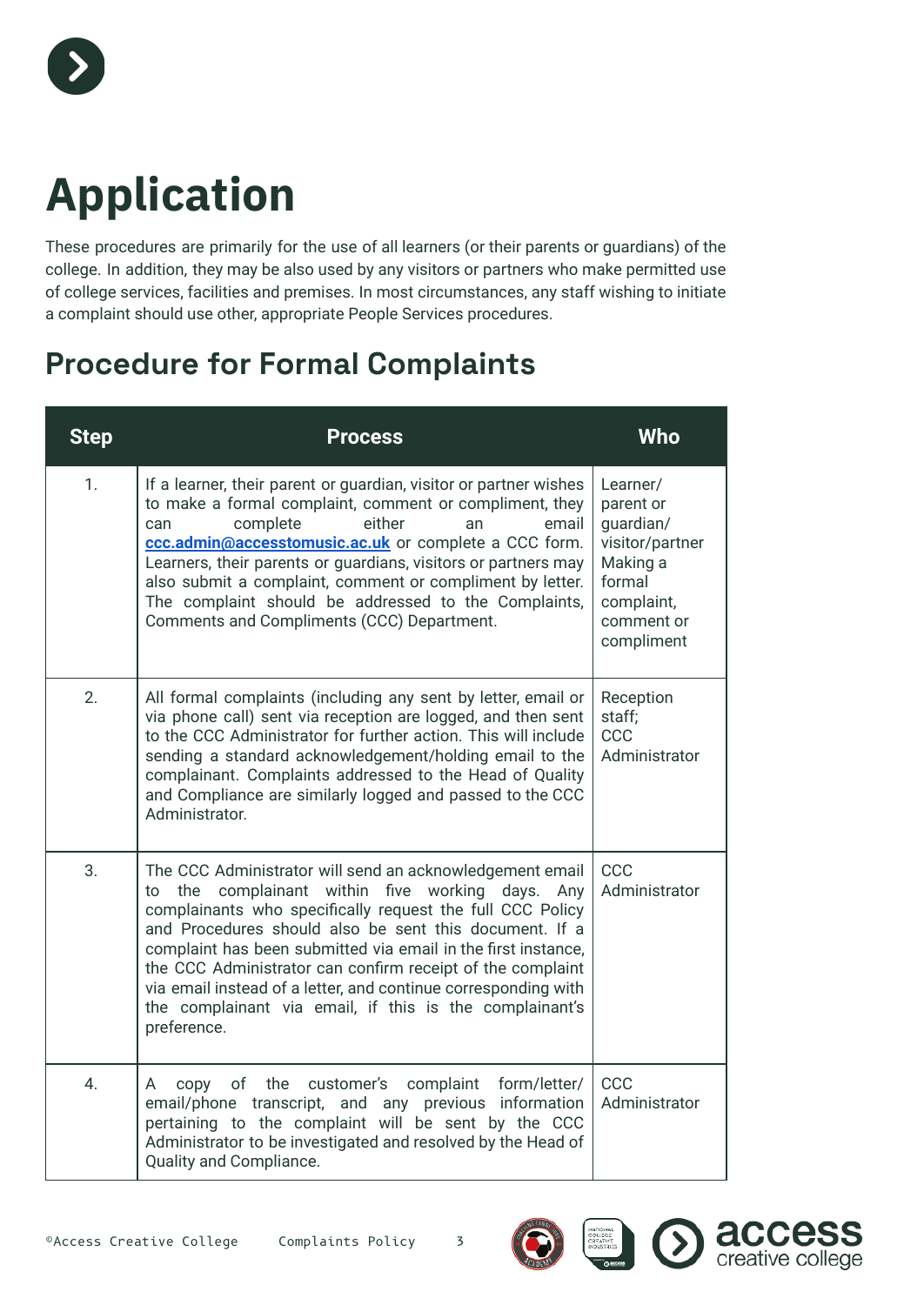

### **Application**

These procedures are primarily for the use of all learners (or their parents or guardians) of the college. In addition, they may be also used by any visitors or partners who make permitted use of college services, facilities and premises. In most circumstances, any staff wishing to initiate a complaint should use other, appropriate People Services procedures.

#### **Procedure for Formal Complaints**

| <b>Step</b>      | <b>Process</b>                                                                                                                                                                                                                                                                                                                                                                                                                                                                                                             | <b>Who</b>                                                                                                            |
|------------------|----------------------------------------------------------------------------------------------------------------------------------------------------------------------------------------------------------------------------------------------------------------------------------------------------------------------------------------------------------------------------------------------------------------------------------------------------------------------------------------------------------------------------|-----------------------------------------------------------------------------------------------------------------------|
| $\mathbf{1}$ .   | If a learner, their parent or guardian, visitor or partner wishes<br>to make a formal complaint, comment or compliment, they<br>either<br>complete<br>email<br>can<br>an<br>ccc.admin@accesstomusic.ac.uk or complete a CCC form.<br>Learners, their parents or guardians, visitors or partners may<br>also submit a complaint, comment or compliment by letter.<br>The complaint should be addressed to the Complaints,<br>Comments and Compliments (CCC) Department.                                                     | Learner/<br>parent or<br>guardian/<br>visitor/partner<br>Making a<br>formal<br>complaint,<br>comment or<br>compliment |
| 2.               | All formal complaints (including any sent by letter, email or<br>via phone call) sent via reception are logged, and then sent<br>to the CCC Administrator for further action. This will include<br>sending a standard acknowledgement/holding email to the<br>complainant. Complaints addressed to the Head of Quality<br>and Compliance are similarly logged and passed to the CCC<br>Administrator.                                                                                                                      | Reception<br>staff;<br>CCC<br>Administrator                                                                           |
| 3.               | The CCC Administrator will send an acknowledgement email<br>complainant within<br>five working days.<br>to<br>the<br>Any<br>complainants who specifically request the full CCC Policy<br>and Procedures should also be sent this document. If a<br>complaint has been submitted via email in the first instance,<br>the CCC Administrator can confirm receipt of the complaint<br>via email instead of a letter, and continue corresponding with<br>the complainant via email, if this is the complainant's<br>preference. | CCC<br>Administrator                                                                                                  |
| $\overline{4}$ . | form/letter/<br>the customer's<br>complaint<br>of<br>A<br>copy<br>email/phone transcript, and any previous information<br>pertaining to the complaint will be sent by the CCC<br>Administrator to be investigated and resolved by the Head of<br>Quality and Compliance.                                                                                                                                                                                                                                                   | CCC<br>Administrator                                                                                                  |







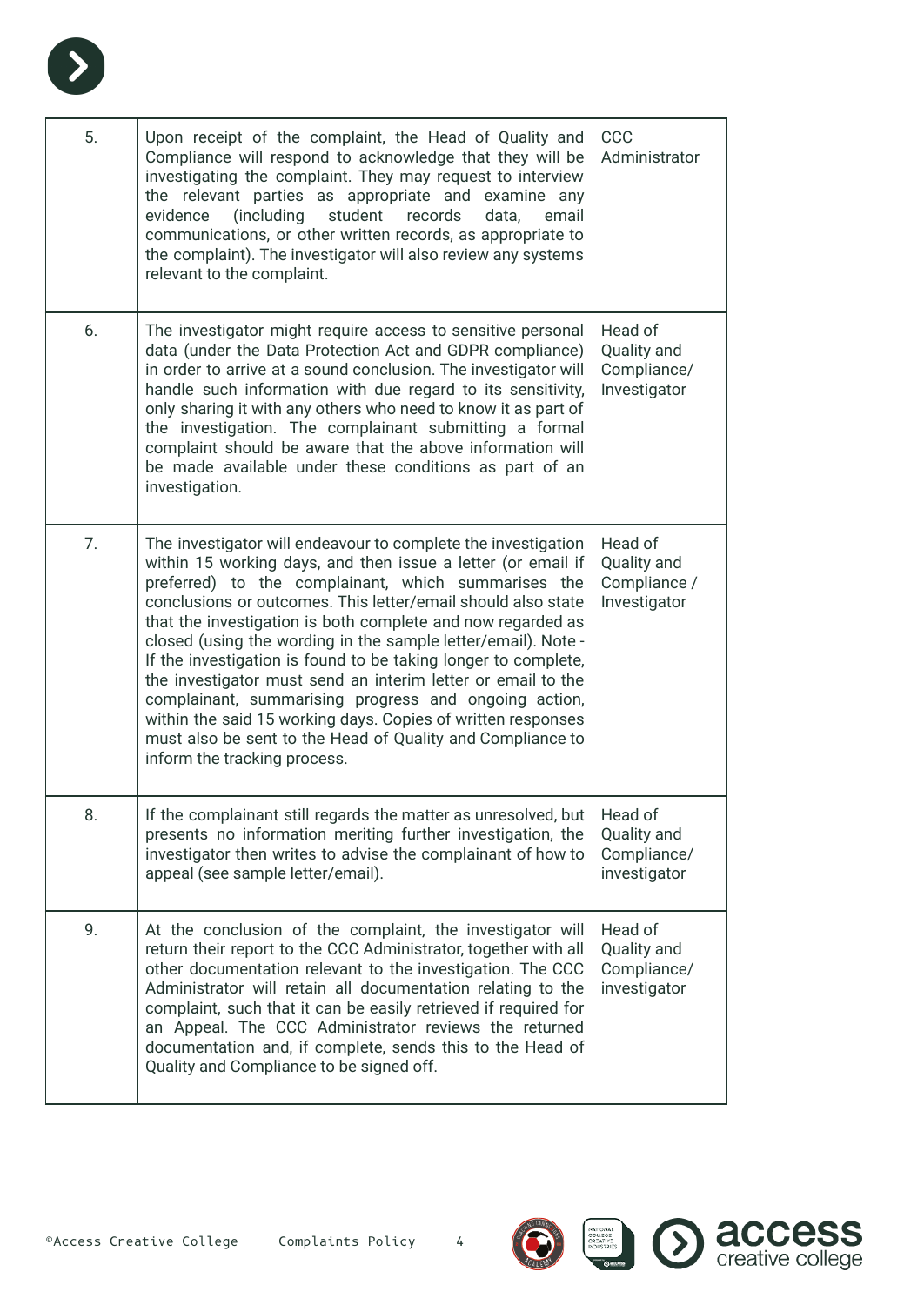

| 5.<br>Upon receipt of the complaint, the Head of Quality and<br>CCC<br>Compliance will respond to acknowledge that they will be<br>Administrator<br>investigating the complaint. They may request to interview<br>the relevant parties as appropriate and examine any<br>(including<br>student<br>email<br>evidence<br>records<br>data,<br>communications, or other written records, as appropriate to<br>the complaint). The investigator will also review any systems<br>relevant to the complaint.<br>6.<br>Head of<br>The investigator might require access to sensitive personal<br>data (under the Data Protection Act and GDPR compliance)<br>Quality and<br>in order to arrive at a sound conclusion. The investigator will<br>Compliance/<br>Investigator<br>handle such information with due regard to its sensitivity,<br>only sharing it with any others who need to know it as part of<br>the investigation. The complainant submitting a formal<br>complaint should be aware that the above information will<br>be made available under these conditions as part of an<br>investigation.<br>7.<br>Head of<br>The investigator will endeavour to complete the investigation<br>within 15 working days, and then issue a letter (or email if<br>Quality and<br>preferred) to the complainant, which summarises the<br>Compliance /<br>conclusions or outcomes. This letter/email should also state<br>Investigator<br>that the investigation is both complete and now regarded as<br>closed (using the wording in the sample letter/email). Note -<br>If the investigation is found to be taking longer to complete,<br>the investigator must send an interim letter or email to the<br>complainant, summarising progress and ongoing action,<br>within the said 15 working days. Copies of written responses<br>must also be sent to the Head of Quality and Compliance to<br>inform the tracking process.<br>8.<br>If the complainant still regards the matter as unresolved, but<br>Head of<br>presents no information meriting further investigation, the<br>Quality and<br>investigator then writes to advise the complainant of how to<br>Compliance/<br>appeal (see sample letter/email).<br>investigator<br>9.<br>Head of<br>At the conclusion of the complaint, the investigator will<br>return their report to the CCC Administrator, together with all<br>Quality and<br>other documentation relevant to the investigation. The CCC<br>Compliance/<br>Administrator will retain all documentation relating to the<br>investigator<br>complaint, such that it can be easily retrieved if required for<br>an Appeal. The CCC Administrator reviews the returned<br>documentation and, if complete, sends this to the Head of<br>Quality and Compliance to be signed off. |  |  |
|-----------------------------------------------------------------------------------------------------------------------------------------------------------------------------------------------------------------------------------------------------------------------------------------------------------------------------------------------------------------------------------------------------------------------------------------------------------------------------------------------------------------------------------------------------------------------------------------------------------------------------------------------------------------------------------------------------------------------------------------------------------------------------------------------------------------------------------------------------------------------------------------------------------------------------------------------------------------------------------------------------------------------------------------------------------------------------------------------------------------------------------------------------------------------------------------------------------------------------------------------------------------------------------------------------------------------------------------------------------------------------------------------------------------------------------------------------------------------------------------------------------------------------------------------------------------------------------------------------------------------------------------------------------------------------------------------------------------------------------------------------------------------------------------------------------------------------------------------------------------------------------------------------------------------------------------------------------------------------------------------------------------------------------------------------------------------------------------------------------------------------------------------------------------------------------------------------------------------------------------------------------------------------------------------------------------------------------------------------------------------------------------------------------------------------------------------------------------------------------------------------------------------------------------------------------------------------------------------------------------------------------------------------------------------------------------------------------------------------------------------------------------------------------------------|--|--|
|                                                                                                                                                                                                                                                                                                                                                                                                                                                                                                                                                                                                                                                                                                                                                                                                                                                                                                                                                                                                                                                                                                                                                                                                                                                                                                                                                                                                                                                                                                                                                                                                                                                                                                                                                                                                                                                                                                                                                                                                                                                                                                                                                                                                                                                                                                                                                                                                                                                                                                                                                                                                                                                                                                                                                                                               |  |  |
|                                                                                                                                                                                                                                                                                                                                                                                                                                                                                                                                                                                                                                                                                                                                                                                                                                                                                                                                                                                                                                                                                                                                                                                                                                                                                                                                                                                                                                                                                                                                                                                                                                                                                                                                                                                                                                                                                                                                                                                                                                                                                                                                                                                                                                                                                                                                                                                                                                                                                                                                                                                                                                                                                                                                                                                               |  |  |
|                                                                                                                                                                                                                                                                                                                                                                                                                                                                                                                                                                                                                                                                                                                                                                                                                                                                                                                                                                                                                                                                                                                                                                                                                                                                                                                                                                                                                                                                                                                                                                                                                                                                                                                                                                                                                                                                                                                                                                                                                                                                                                                                                                                                                                                                                                                                                                                                                                                                                                                                                                                                                                                                                                                                                                                               |  |  |
|                                                                                                                                                                                                                                                                                                                                                                                                                                                                                                                                                                                                                                                                                                                                                                                                                                                                                                                                                                                                                                                                                                                                                                                                                                                                                                                                                                                                                                                                                                                                                                                                                                                                                                                                                                                                                                                                                                                                                                                                                                                                                                                                                                                                                                                                                                                                                                                                                                                                                                                                                                                                                                                                                                                                                                                               |  |  |
|                                                                                                                                                                                                                                                                                                                                                                                                                                                                                                                                                                                                                                                                                                                                                                                                                                                                                                                                                                                                                                                                                                                                                                                                                                                                                                                                                                                                                                                                                                                                                                                                                                                                                                                                                                                                                                                                                                                                                                                                                                                                                                                                                                                                                                                                                                                                                                                                                                                                                                                                                                                                                                                                                                                                                                                               |  |  |



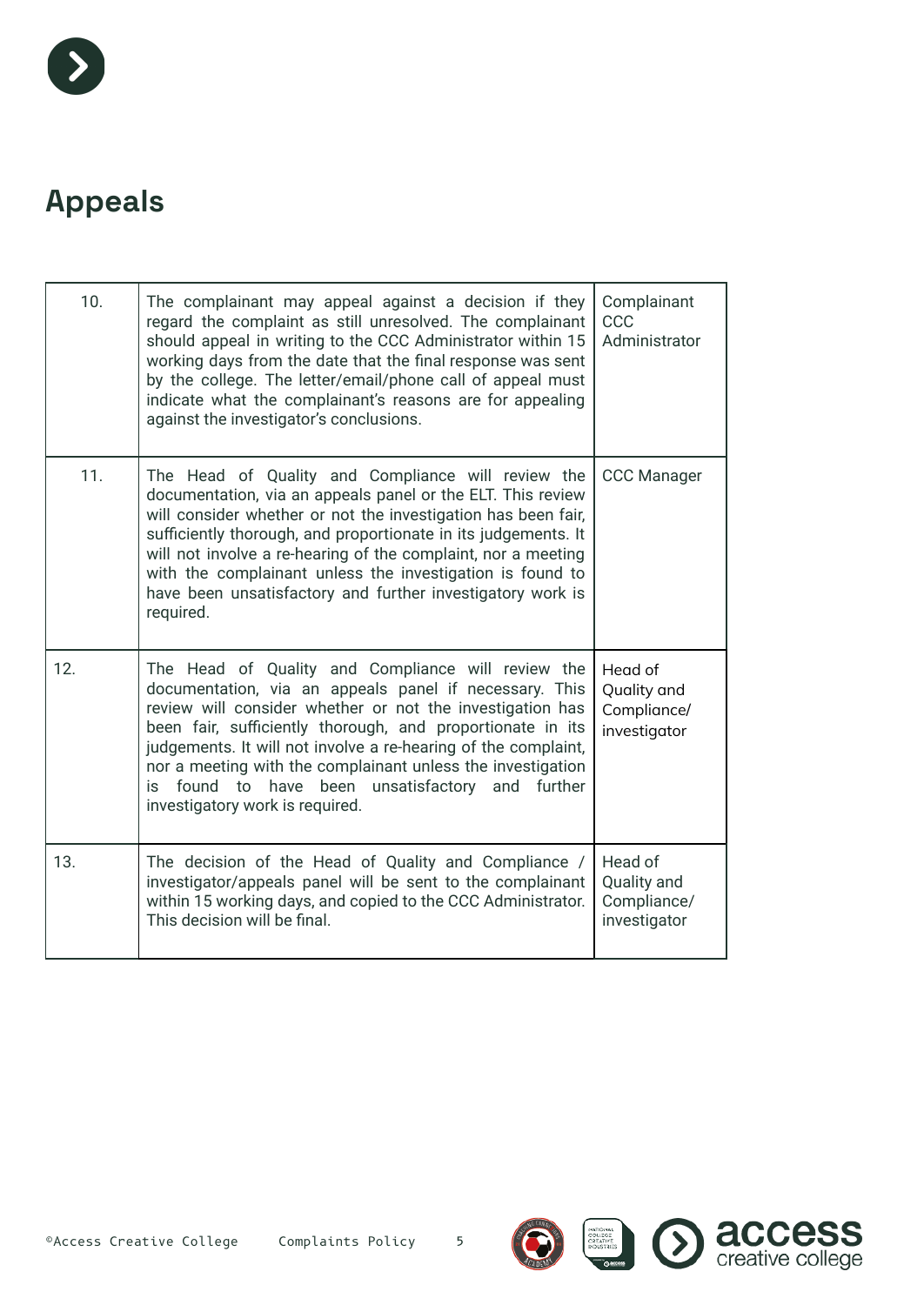

#### **Appeals**

| 10. | The complainant may appeal against a decision if they<br>regard the complaint as still unresolved. The complainant<br>should appeal in writing to the CCC Administrator within 15<br>working days from the date that the final response was sent<br>by the college. The letter/email/phone call of appeal must<br>indicate what the complainant's reasons are for appealing<br>against the investigator's conclusions.                                          | Complainant<br>CCC<br>Administrator                   |
|-----|-----------------------------------------------------------------------------------------------------------------------------------------------------------------------------------------------------------------------------------------------------------------------------------------------------------------------------------------------------------------------------------------------------------------------------------------------------------------|-------------------------------------------------------|
| 11. | The Head of Quality and Compliance will review the<br>documentation, via an appeals panel or the ELT. This review<br>will consider whether or not the investigation has been fair,<br>sufficiently thorough, and proportionate in its judgements. It<br>will not involve a re-hearing of the complaint, nor a meeting<br>with the complainant unless the investigation is found to<br>have been unsatisfactory and further investigatory work is<br>required.   | <b>CCC Manager</b>                                    |
| 12. | The Head of Quality and Compliance will review the<br>documentation, via an appeals panel if necessary. This<br>review will consider whether or not the investigation has<br>been fair, sufficiently thorough, and proportionate in its<br>judgements. It will not involve a re-hearing of the complaint,<br>nor a meeting with the complainant unless the investigation<br>is found to have been unsatisfactory and further<br>investigatory work is required. | Head of<br>Quality and<br>Compliance/<br>investigator |
| 13. | The decision of the Head of Quality and Compliance /<br>investigator/appeals panel will be sent to the complainant<br>within 15 working days, and copied to the CCC Administrator.<br>This decision will be final.                                                                                                                                                                                                                                              | Head of<br>Quality and<br>Compliance/<br>investigator |

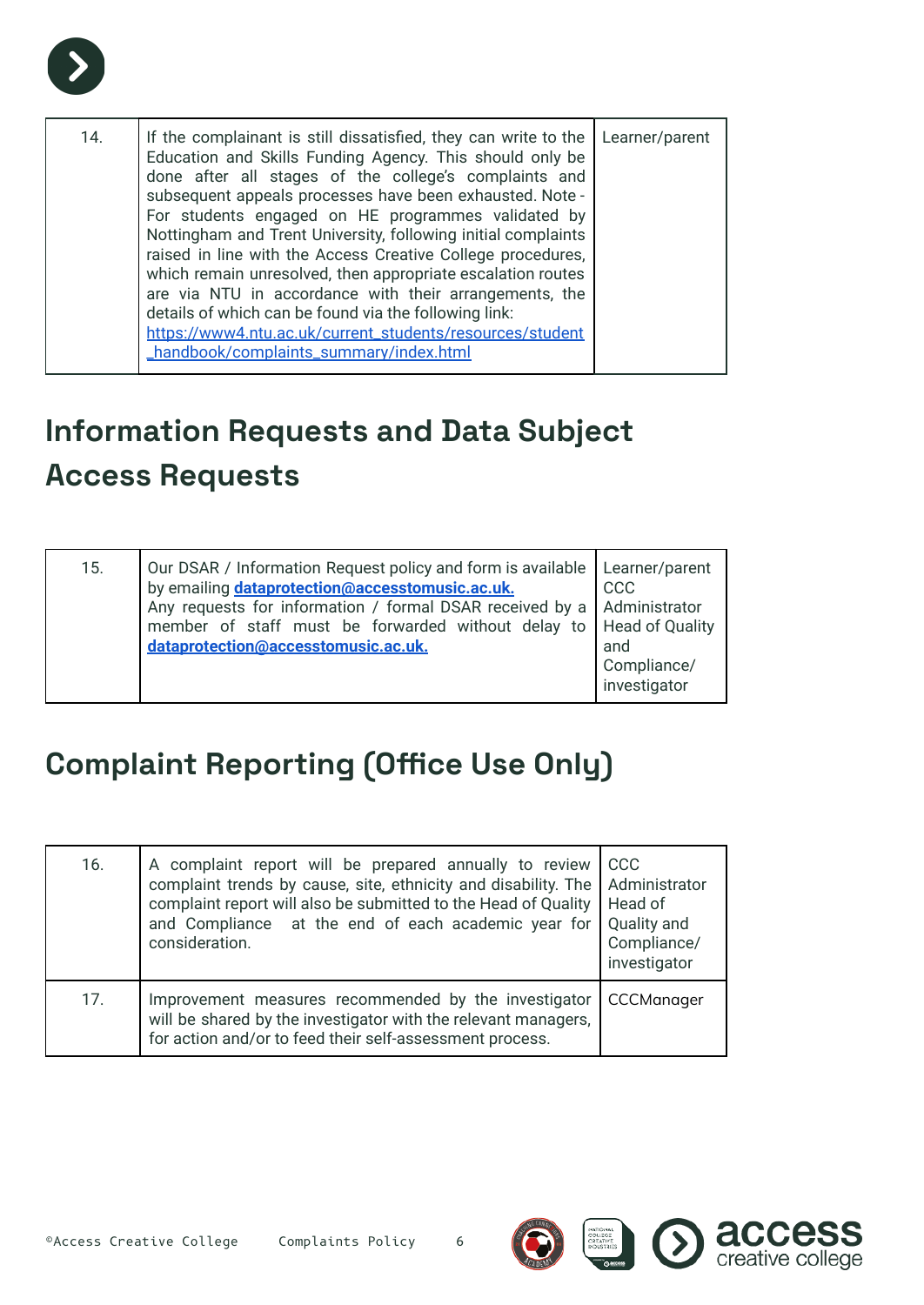

| 14. | If the complainant is still dissatisfied, they can write to the   Learner/parent<br>Education and Skills Funding Agency. This should only be<br>done after all stages of the college's complaints and<br>subsequent appeals processes have been exhausted. Note -<br>For students engaged on HE programmes validated by<br>Nottingham and Trent University, following initial complaints<br>raised in line with the Access Creative College procedures,<br>which remain unresolved, then appropriate escalation routes<br>are via NTU in accordance with their arrangements, the<br>details of which can be found via the following link:<br>https://www4.ntu.ac.uk/current_students/resources/student<br>_handbook/complaints_summary/index.html |  |
|-----|---------------------------------------------------------------------------------------------------------------------------------------------------------------------------------------------------------------------------------------------------------------------------------------------------------------------------------------------------------------------------------------------------------------------------------------------------------------------------------------------------------------------------------------------------------------------------------------------------------------------------------------------------------------------------------------------------------------------------------------------------|--|

#### **Information Requests and Data Subject Access Requests**

| Our DSAR / Information Request policy and form is available   Learner/parent<br>15.<br>by emailing <b>dataprotection@accesstomusic.ac.uk.</b><br>Any requests for information / formal DSAR received by a   Administrator<br>member of staff must be forwarded without delay to   Head of Quality<br>dataprotection@accesstomusic.ac.uk. | <b>CCC</b><br>and<br>Compliance/<br>investigator |
|------------------------------------------------------------------------------------------------------------------------------------------------------------------------------------------------------------------------------------------------------------------------------------------------------------------------------------------|--------------------------------------------------|
|------------------------------------------------------------------------------------------------------------------------------------------------------------------------------------------------------------------------------------------------------------------------------------------------------------------------------------------|--------------------------------------------------|

#### **Complaint Reporting (Office Use Only)**

| 16. | A complaint report will be prepared annually to review<br>complaint trends by cause, site, ethnicity and disability. The<br>complaint report will also be submitted to the Head of Quality<br>and Compliance at the end of each academic year for<br>consideration. | <b>CCC</b><br>Administrator<br>Head of<br>Quality and<br>Compliance/<br>investigator |
|-----|---------------------------------------------------------------------------------------------------------------------------------------------------------------------------------------------------------------------------------------------------------------------|--------------------------------------------------------------------------------------|
| 17. | Improvement measures recommended by the investigator<br>will be shared by the investigator with the relevant managers,<br>for action and/or to feed their self-assessment process.                                                                                  | CCCManager                                                                           |